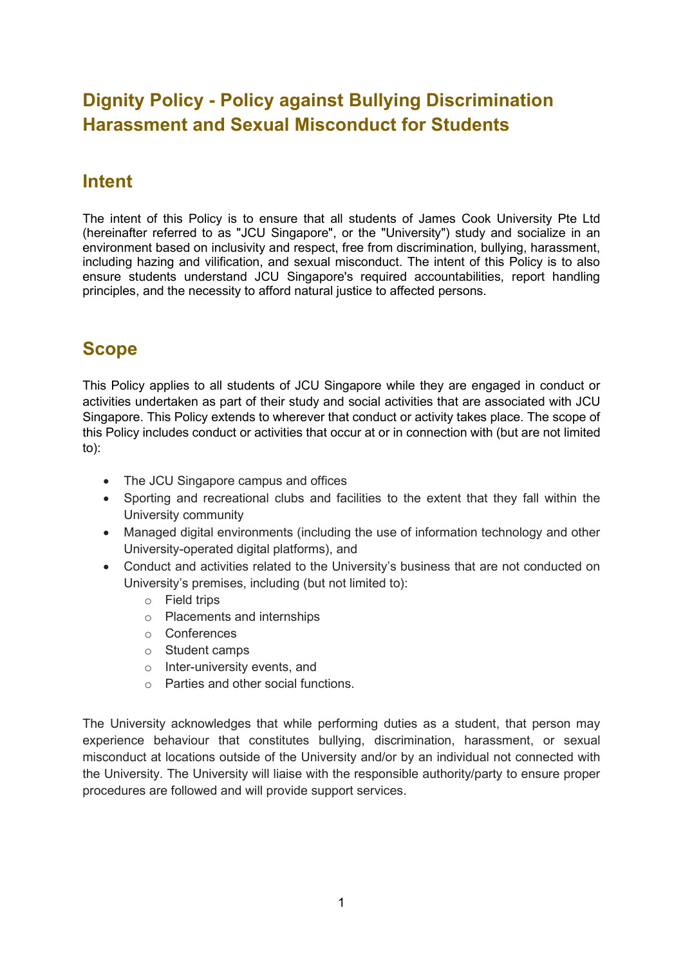# **Dignity Policy - Policy against Bullying Discrimination Harassment and Sexual Misconduct for Students**

### **Intent**

The intent of this Policy is to ensure that all students of James Cook University Pte Ltd (hereinafter referred to as "JCU Singapore", or the "University") study and socialize in an environment based on inclusivity and respect, free from discrimination, bullying, harassment, including hazing and vilification, and sexual misconduct. The intent of this Policy is to also ensure students understand JCU Singapore's required accountabilities, report handling principles, and the necessity to afford natural justice to affected persons.

# **Scope**

This Policy applies to all students of JCU Singapore while they are engaged in conduct or activities undertaken as part of their study and social activities that are associated with JCU Singapore. This Policy extends to wherever that conduct or activity takes place. The scope of this Policy includes conduct or activities that occur at or in connection with (but are not limited to):

- The JCU Singapore campus and offices
- Sporting and recreational clubs and facilities to the extent that they fall within the University community
- Managed digital environments (including the use of information technology and other University-operated digital platforms), and
- Conduct and activities related to the University's business that are not conducted on University's premises, including (but not limited to):
	- o Field trips
	- o Placements and internships
	- o Conferences
	- o Student camps
	- o Inter-university events, and
	- o Parties and other social functions.

The University acknowledges that while performing duties as a student, that person may experience behaviour that constitutes bullying, discrimination, harassment, or sexual misconduct at locations outside of the University and/or by an individual not connected with the University. The University will liaise with the responsible authority/party to ensure proper procedures are followed and will provide support services.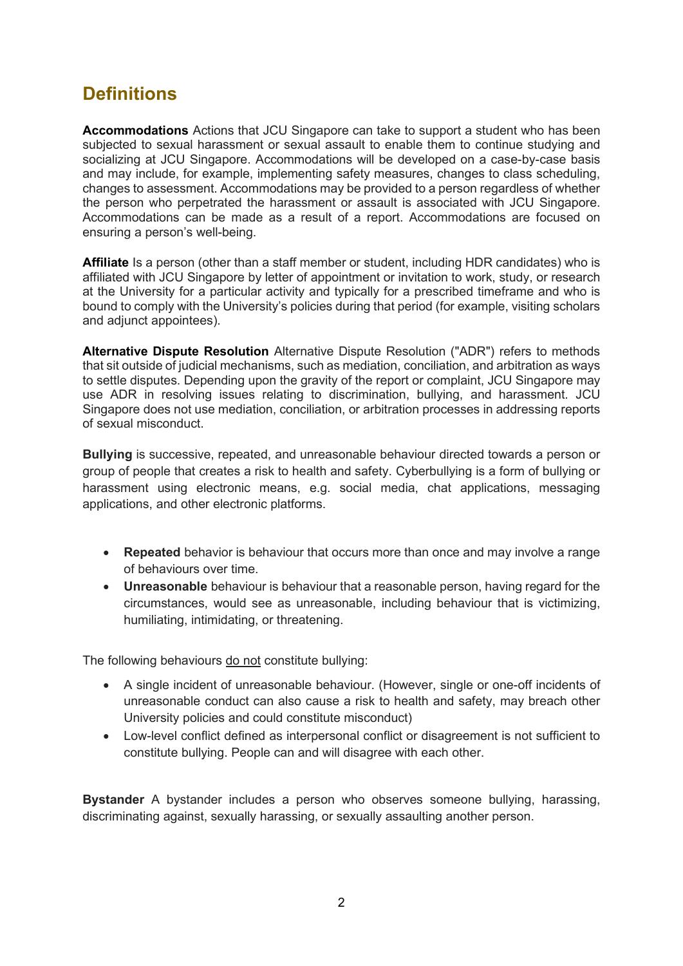## **Definitions**

**Accommodations** Actions that JCU Singapore can take to support a student who has been subjected to sexual harassment or sexual assault to enable them to continue studying and socializing at JCU Singapore. Accommodations will be developed on a case-by-case basis and may include, for example, implementing safety measures, changes to class scheduling, changes to assessment. Accommodations may be provided to a person regardless of whether the person who perpetrated the harassment or assault is associated with JCU Singapore. Accommodations can be made as a result of a report. Accommodations are focused on ensuring a person's well-being.

**Affiliate** Is a person (other than a staff member or student, including HDR candidates) who is affiliated with JCU Singapore by letter of appointment or invitation to work, study, or research at the University for a particular activity and typically for a prescribed timeframe and who is bound to comply with the University's policies during that period (for example, visiting scholars and adjunct appointees).

**Alternative Dispute Resolution** Alternative Dispute Resolution ("ADR") refers to methods that sit outside of judicial mechanisms, such as mediation, conciliation, and arbitration as ways to settle disputes. Depending upon the gravity of the report or complaint, JCU Singapore may use ADR in resolving issues relating to discrimination, bullying, and harassment. JCU Singapore does not use mediation, conciliation, or arbitration processes in addressing reports of sexual misconduct.

**Bullying** is successive, repeated, and unreasonable behaviour directed towards a person or group of people that creates a risk to health and safety. Cyberbullying is a form of bullying or harassment using electronic means, e.g. social media, chat applications, messaging applications, and other electronic platforms.

- **Repeated** behavior is behaviour that occurs more than once and may involve a range of behaviours over time.
- **Unreasonable** behaviour is behaviour that a reasonable person, having regard for the circumstances, would see as unreasonable, including behaviour that is victimizing, humiliating, intimidating, or threatening.

The following behaviours do not constitute bullying:

- A single incident of unreasonable behaviour. (However, single or one-off incidents of unreasonable conduct can also cause a risk to health and safety, may breach other University policies and could constitute misconduct)
- Low-level conflict defined as interpersonal conflict or disagreement is not sufficient to constitute bullying. People can and will disagree with each other.

**Bystander** A bystander includes a person who observes someone bullying, harassing, discriminating against, sexually harassing, or sexually assaulting another person.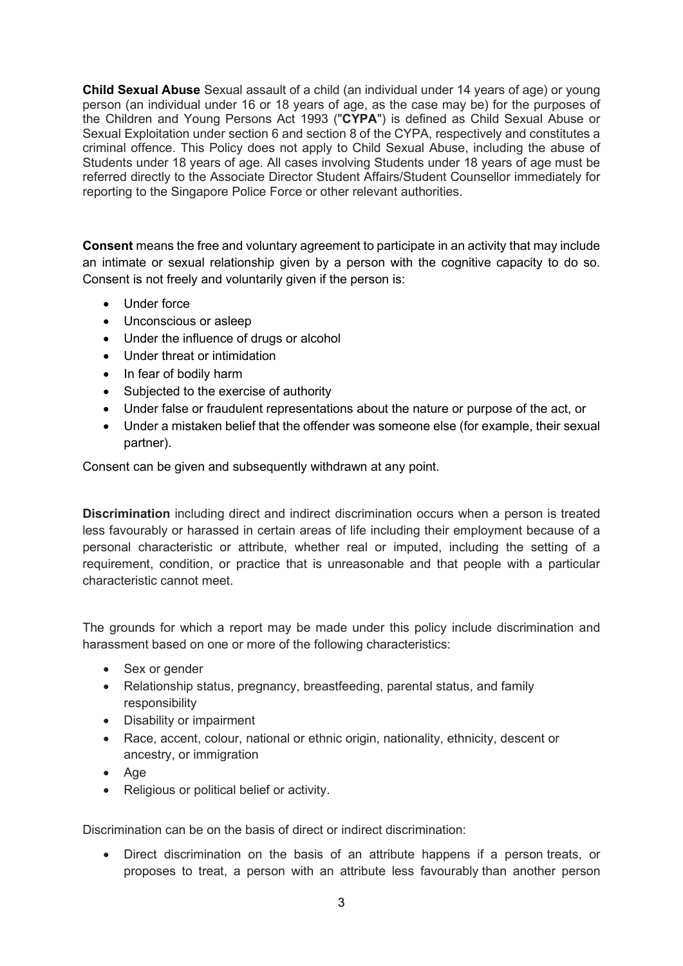**Child Sexual Abuse** Sexual assault of a child (an individual under 14 years of age) or young person (an individual under 16 or 18 years of age, as the case may be) for the purposes of the Children and Young Persons Act 1993 ("**CYPA**") is defined as Child Sexual Abuse or Sexual Exploitation under section 6 and section 8 of the CYPA, respectively and constitutes a criminal offence. This Policy does not apply to Child Sexual Abuse, including the abuse of Students under 18 years of age. All cases involving Students under 18 years of age must be referred directly to the Associate Director Student Affairs/Student Counsellor immediately for reporting to the Singapore Police Force or other relevant authorities.

**Consent** means the free and voluntary agreement to participate in an activity that may include an intimate or sexual relationship given by a person with the cognitive capacity to do so. Consent is not freely and voluntarily given if the person is:

- Under force
- Unconscious or asleep
- Under the influence of drugs or alcohol
- Under threat or intimidation
- In fear of bodily harm
- Subjected to the exercise of authority
- Under false or fraudulent representations about the nature or purpose of the act, or
- Under a mistaken belief that the offender was someone else (for example, their sexual partner).

Consent can be given and subsequently withdrawn at any point.

**Discrimination** including direct and indirect discrimination occurs when a person is treated less favourably or harassed in certain areas of life including their employment because of a personal characteristic or attribute, whether real or imputed, including the setting of a requirement, condition, or practice that is unreasonable and that people with a particular characteristic cannot meet.

The grounds for which a report may be made under this policy include discrimination and harassment based on one or more of the following characteristics:

- Sex or gender
- Relationship status, pregnancy, breastfeeding, parental status, and family responsibility
- Disability or impairment
- Race, accent, colour, national or ethnic origin, nationality, ethnicity, descent or ancestry, or immigration
- Age
- Religious or political belief or activity.

Discrimination can be on the basis of direct or indirect discrimination:

• Direct discrimination on the basis of an attribute happens if a person treats, or proposes to treat, a person with an attribute less favourably than another person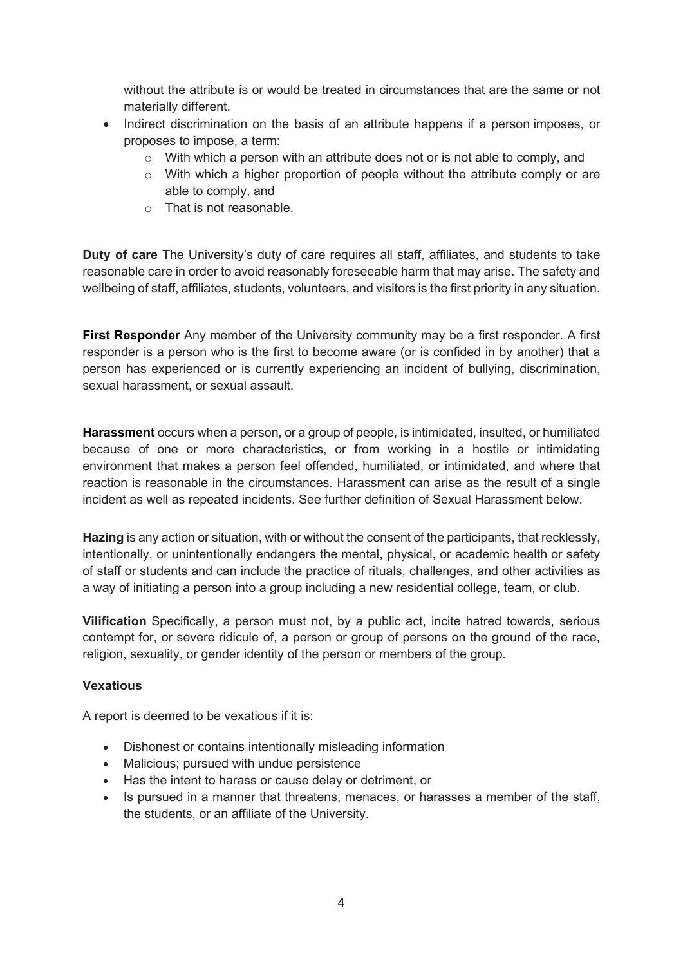without the attribute is or would be treated in circumstances that are the same or not materially different.

- Indirect discrimination on the basis of an attribute happens if a person imposes, or proposes to impose, a term:
	- $\circ$  With which a person with an attribute does not or is not able to comply, and
	- $\circ$  With which a higher proportion of people without the attribute comply or are able to comply, and
	- o That is not reasonable.

**Duty of care** The University's duty of care requires all staff, affiliates, and students to take reasonable care in order to avoid reasonably foreseeable harm that may arise. The safety and wellbeing of staff, affiliates, students, volunteers, and visitors is the first priority in any situation.

**First Responder** Any member of the University community may be a first responder. A first responder is a person who is the first to become aware (or is confided in by another) that a person has experienced or is currently experiencing an incident of bullying, discrimination, sexual harassment, or sexual assault.

**Harassment** occurs when a person, or a group of people, is intimidated, insulted, or humiliated because of one or more characteristics, or from working in a hostile or intimidating environment that makes a person feel offended, humiliated, or intimidated, and where that reaction is reasonable in the circumstances. Harassment can arise as the result of a single incident as well as repeated incidents. See further definition of Sexual Harassment below.

**Hazing** is any action or situation, with or without the consent of the participants, that recklessly, intentionally, or unintentionally endangers the mental, physical, or academic health or safety of staff or students and can include the practice of rituals, challenges, and other activities as a way of initiating a person into a group including a new residential college, team, or club.

**Vilification** Specifically, a person must not, by a public act, incite hatred towards, serious contempt for, or severe ridicule of, a person or group of persons on the ground of the race, religion, sexuality, or gender identity of the person or members of the group.

#### **Vexatious**

A report is deemed to be vexatious if it is:

- Dishonest or contains intentionally misleading information
- Malicious; pursued with undue persistence
- Has the intent to harass or cause delay or detriment, or
- Is pursued in a manner that threatens, menaces, or harasses a member of the staff, the students, or an affiliate of the University.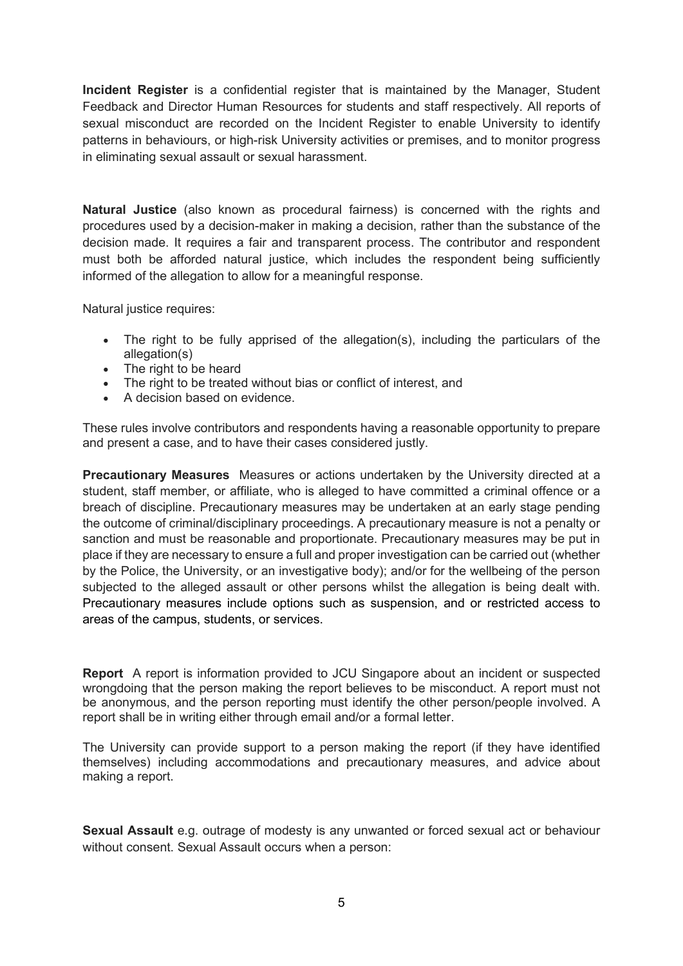**Incident Register** is a confidential register that is maintained by the Manager, Student Feedback and Director Human Resources for students and staff respectively. All reports of sexual misconduct are recorded on the Incident Register to enable University to identify patterns in behaviours, or high-risk University activities or premises, and to monitor progress in eliminating sexual assault or sexual harassment.

**Natural Justice** (also known as procedural fairness) is concerned with the rights and procedures used by a decision-maker in making a decision, rather than the substance of the decision made. It requires a fair and transparent process. The contributor and respondent must both be afforded natural justice, which includes the respondent being sufficiently informed of the allegation to allow for a meaningful response.

Natural justice requires:

- The right to be fully apprised of the allegation(s), including the particulars of the allegation(s)
- The right to be heard
- The right to be treated without bias or conflict of interest, and
- A decision based on evidence.

These rules involve contributors and respondents having a reasonable opportunity to prepare and present a case, and to have their cases considered justly.

**Precautionary Measures** Measures or actions undertaken by the University directed at a student, staff member, or affiliate, who is alleged to have committed a criminal offence or a breach of discipline. Precautionary measures may be undertaken at an early stage pending the outcome of criminal/disciplinary proceedings. A precautionary measure is not a penalty or sanction and must be reasonable and proportionate. Precautionary measures may be put in place if they are necessary to ensure a full and proper investigation can be carried out (whether by the Police, the University, or an investigative body); and/or for the wellbeing of the person subjected to the alleged assault or other persons whilst the allegation is being dealt with. Precautionary measures include options such as suspension, and or restricted access to areas of the campus, students, or services.

**Report** A report is information provided to JCU Singapore about an incident or suspected wrongdoing that the person making the report believes to be misconduct. A report must not be anonymous, and the person reporting must identify the other person/people involved. A report shall be in writing either through email and/or a formal letter.

The University can provide support to a person making the report (if they have identified themselves) including accommodations and precautionary measures, and advice about making a report.

**Sexual Assault** e.g. outrage of modesty is any unwanted or forced sexual act or behaviour without consent. Sexual Assault occurs when a person: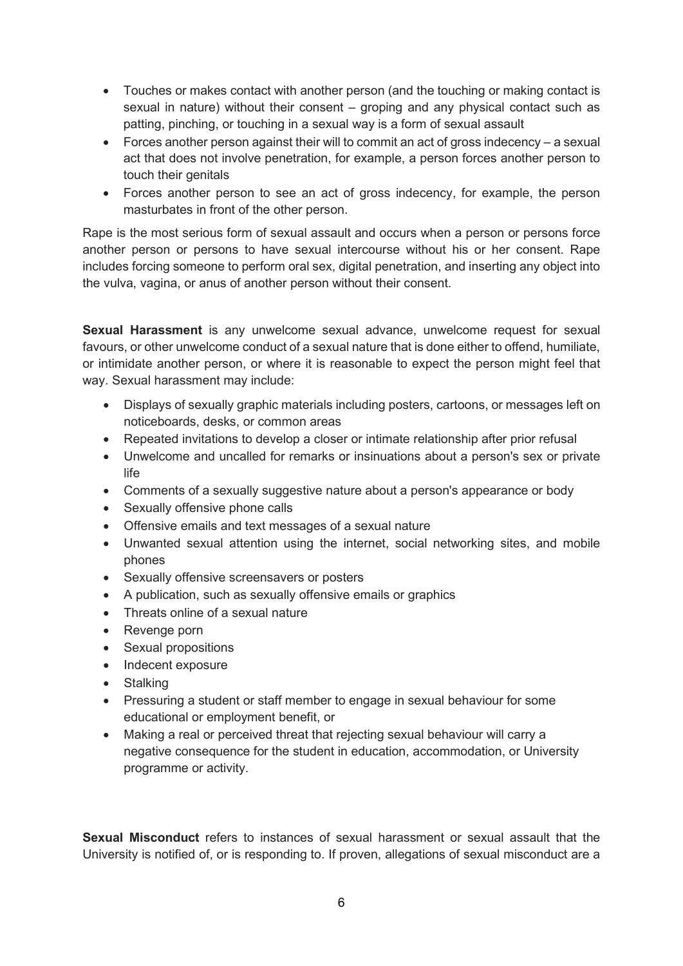- Touches or makes contact with another person (and the touching or making contact is sexual in nature) without their consent – groping and any physical contact such as patting, pinching, or touching in a sexual way is a form of sexual assault
- Forces another person against their will to commit an act of gross indecency a sexual act that does not involve penetration, for example, a person forces another person to touch their genitals
- Forces another person to see an act of gross indecency, for example, the person masturbates in front of the other person.

Rape is the most serious form of sexual assault and occurs when a person or persons force another person or persons to have sexual intercourse without his or her consent. Rape includes forcing someone to perform oral sex, digital penetration, and inserting any object into the vulva, vagina, or anus of another person without their consent.

**Sexual Harassment** is any unwelcome sexual advance, unwelcome request for sexual favours, or other unwelcome conduct of a sexual nature that is done either to offend, humiliate, or intimidate another person, or where it is reasonable to expect the person might feel that way. Sexual harassment may include:

- Displays of sexually graphic materials including posters, cartoons, or messages left on noticeboards, desks, or common areas
- Repeated invitations to develop a closer or intimate relationship after prior refusal
- Unwelcome and uncalled for remarks or insinuations about a person's sex or private life
- Comments of a sexually suggestive nature about a person's appearance or body
- Sexually offensive phone calls
- Offensive emails and text messages of a sexual nature
- Unwanted sexual attention using the internet, social networking sites, and mobile phones
- Sexually offensive screensavers or posters
- A publication, such as sexually offensive emails or graphics
- Threats online of a sexual nature
- Revenge porn
- Sexual propositions
- Indecent exposure
- **Stalking**
- Pressuring a student or staff member to engage in sexual behaviour for some educational or employment benefit, or
- Making a real or perceived threat that rejecting sexual behaviour will carry a negative consequence for the student in education, accommodation, or University programme or activity.

**Sexual Misconduct** refers to instances of sexual harassment or sexual assault that the University is notified of, or is responding to. If proven, allegations of sexual misconduct are a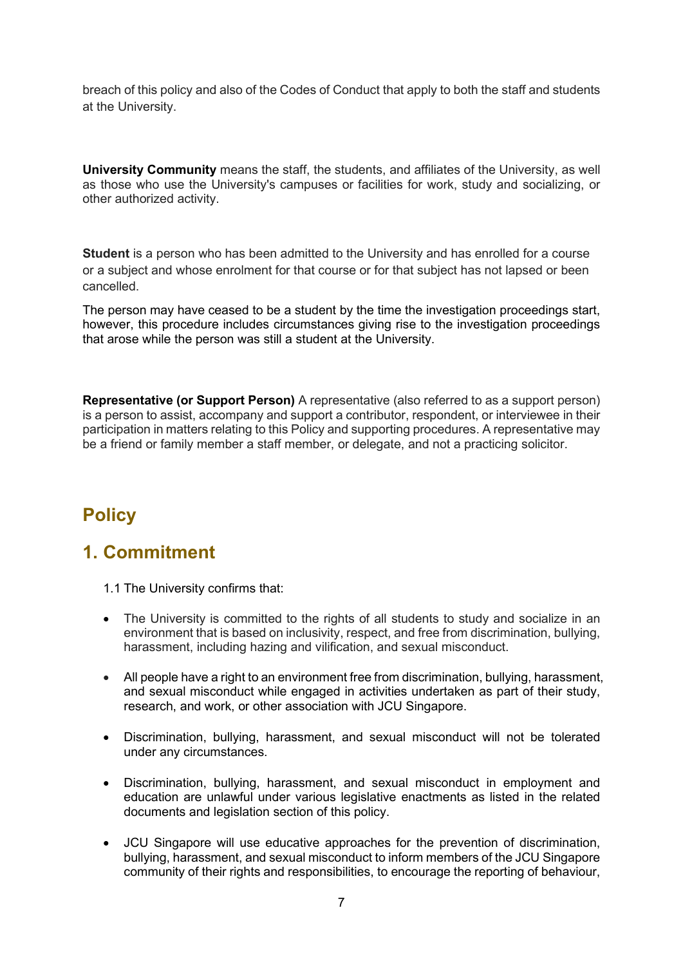breach of this policy and also of the Codes of Conduct that apply to both the staff and students at the University.

**University Community** means the staff, the students, and affiliates of the University, as well as those who use the University's campuses or facilities for work, study and socializing, or other authorized activity.

**Student** is a person who has been admitted to the University and has enrolled for a course or a subject and whose enrolment for that course or for that subject has not lapsed or been cancelled.

The person may have ceased to be a student by the time the investigation proceedings start, however, this procedure includes circumstances giving rise to the investigation proceedings that arose while the person was still a student at the University.

**Representative (or Support Person)** A representative (also referred to as a support person) is a person to assist, accompany and support a contributor, respondent, or interviewee in their participation in matters relating to this Policy and supporting procedures. A representative may be a friend or family member a staff member, or delegate, and not a practicing solicitor.

# **Policy**

### **1. Commitment**

1.1 The University confirms that:

- The University is committed to the rights of all students to study and socialize in an environment that is based on inclusivity, respect, and free from discrimination, bullying, harassment, including hazing and vilification, and sexual misconduct.
- All people have a right to an environment free from discrimination, bullying, harassment, and sexual misconduct while engaged in activities undertaken as part of their study, research, and work, or other association with JCU Singapore.
- Discrimination, bullying, harassment, and sexual misconduct will not be tolerated under any circumstances.
- Discrimination, bullying, harassment, and sexual misconduct in employment and education are unlawful under various legislative enactments as listed in the related documents and legislation section of this policy.
- JCU Singapore will use educative approaches for the prevention of discrimination, bullying, harassment, and sexual misconduct to inform members of the JCU Singapore community of their rights and responsibilities, to encourage the reporting of behaviour,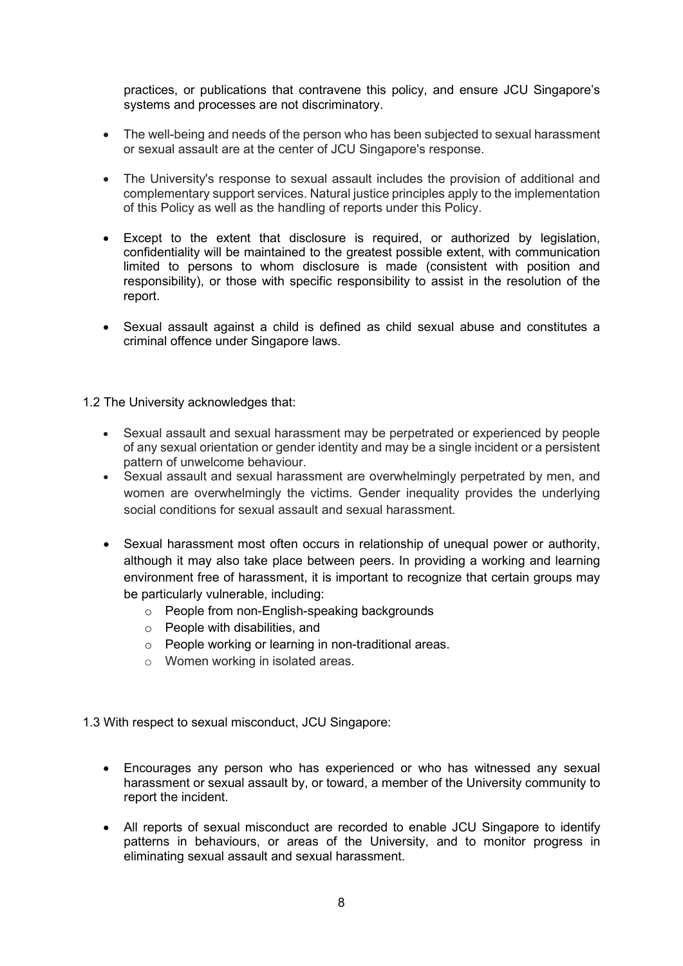practices, or publications that contravene this policy, and ensure JCU Singapore's systems and processes are not discriminatory.

- The well-being and needs of the person who has been subjected to sexual harassment or sexual assault are at the center of JCU Singapore's response.
- The University's response to sexual assault includes the provision of additional and complementary support services. Natural justice principles apply to the implementation of this Policy as well as the handling of reports under this Policy.
- Except to the extent that disclosure is required, or authorized by legislation, confidentiality will be maintained to the greatest possible extent, with communication limited to persons to whom disclosure is made (consistent with position and responsibility), or those with specific responsibility to assist in the resolution of the report.
- Sexual assault against a child is defined as child sexual abuse and constitutes a criminal offence under Singapore laws.

1.2 The University acknowledges that:

- Sexual assault and sexual harassment may be perpetrated or experienced by people of any sexual orientation or gender identity and may be a single incident or a persistent pattern of unwelcome behaviour.
- Sexual assault and sexual harassment are overwhelmingly perpetrated by men, and women are overwhelmingly the victims. Gender inequality provides the underlying social conditions for sexual assault and sexual harassment.
- Sexual harassment most often occurs in relationship of unequal power or authority, although it may also take place between peers. In providing a working and learning environment free of harassment, it is important to recognize that certain groups may be particularly vulnerable, including:
	- o People from non-English-speaking backgrounds
	- o People with disabilities, and
	- o People working or learning in non-traditional areas.
	- o Women working in isolated areas.

1.3 With respect to sexual misconduct, JCU Singapore:

- Encourages any person who has experienced or who has witnessed any sexual harassment or sexual assault by, or toward, a member of the University community to report the incident.
- All reports of sexual misconduct are recorded to enable JCU Singapore to identify patterns in behaviours, or areas of the University, and to monitor progress in eliminating sexual assault and sexual harassment.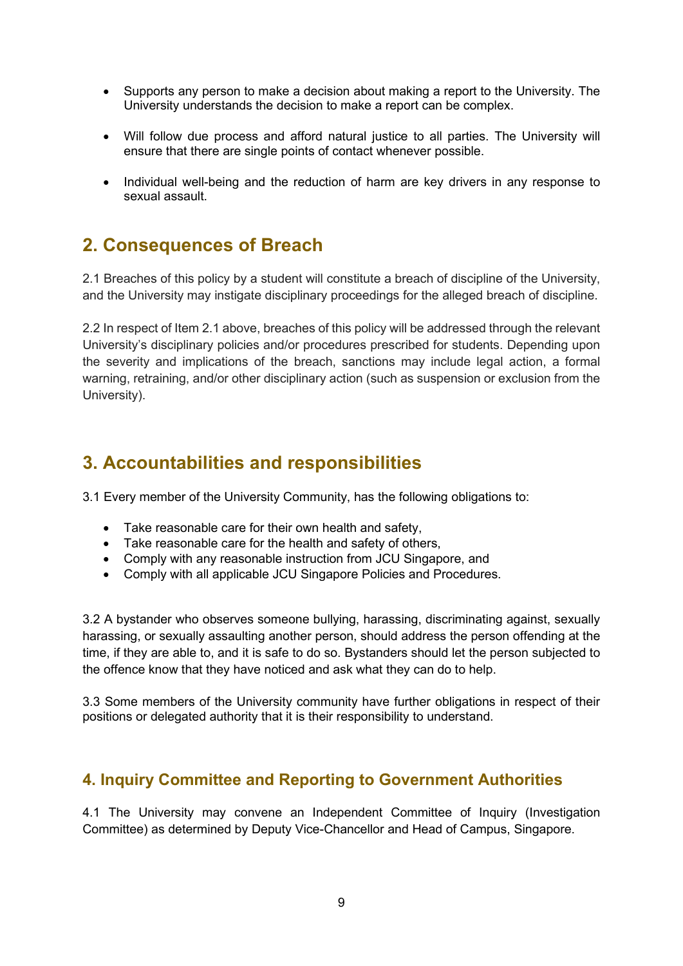- Supports any person to make a decision about making a report to the University. The University understands the decision to make a report can be complex.
- Will follow due process and afford natural justice to all parties. The University will ensure that there are single points of contact whenever possible.
- Individual well-being and the reduction of harm are key drivers in any response to sexual assault.

### **2. Consequences of Breach**

2.1 Breaches of this policy by a student will constitute a breach of discipline of the University, and the University may instigate disciplinary proceedings for the alleged breach of discipline.

2.2 In respect of Item 2.1 above, breaches of this policy will be addressed through the relevant University's disciplinary policies and/or procedures prescribed for students. Depending upon the severity and implications of the breach, sanctions may include legal action, a formal warning, retraining, and/or other disciplinary action (such as suspension or exclusion from the University).

### **3. Accountabilities and responsibilities**

3.1 Every member of the University Community, has the following obligations to:

- Take reasonable care for their own health and safety,
- Take reasonable care for the health and safety of others,
- Comply with any reasonable instruction from JCU Singapore, and
- Comply with all applicable JCU Singapore Policies and Procedures.

3.2 A bystander who observes someone bullying, harassing, discriminating against, sexually harassing, or sexually assaulting another person, should address the person offending at the time, if they are able to, and it is safe to do so. Bystanders should let the person subjected to the offence know that they have noticed and ask what they can do to help.

3.3 Some members of the University community have further obligations in respect of their positions or delegated authority that it is their responsibility to understand.

### **4. Inquiry Committee and Reporting to Government Authorities**

4.1 The University may convene an Independent Committee of Inquiry (Investigation Committee) as determined by Deputy Vice-Chancellor and Head of Campus, Singapore.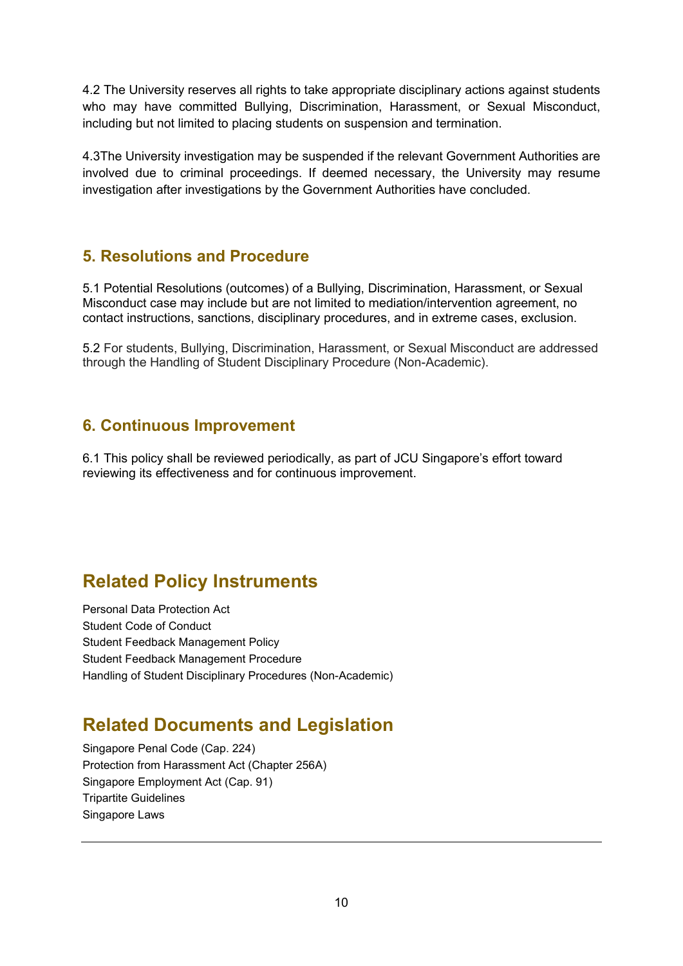4.2 The University reserves all rights to take appropriate disciplinary actions against students who may have committed Bullying, Discrimination, Harassment, or Sexual Misconduct, including but not limited to placing students on suspension and termination.

4.3The University investigation may be suspended if the relevant Government Authorities are involved due to criminal proceedings. If deemed necessary, the University may resume investigation after investigations by the Government Authorities have concluded.

### **5. Resolutions and Procedure**

5.1 Potential Resolutions (outcomes) of a Bullying, Discrimination, Harassment, or Sexual Misconduct case may include but are not limited to mediation/intervention agreement, no contact instructions, sanctions, disciplinary procedures, and in extreme cases, exclusion.

5.2 For students, Bullying, Discrimination, Harassment, or Sexual Misconduct are addressed through the Handling of Student Disciplinary Procedure (Non-Academic).

### **6. Continuous Improvement**

6.1 This policy shall be reviewed periodically, as part of JCU Singapore's effort toward reviewing its effectiveness and for continuous improvement.

## **Related Policy Instruments**

Personal Data Protection Act Student Code of Conduct Student Feedback Management Policy Student Feedback Management Procedure Handling of Student Disciplinary Procedures (Non-Academic)

## **Related Documents and Legislation**

Singapore Penal Code (Cap. 224) Protection from Harassment Act (Chapter 256A) Singapore Employment Act (Cap. 91) Tripartite Guidelines Singapore Laws